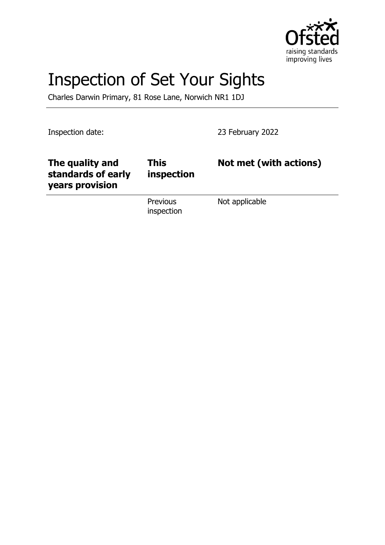

# Inspection of Set Your Sights

Charles Darwin Primary, 81 Rose Lane, Norwich NR1 1DJ

Inspection date: 23 February 2022

| The quality and<br>standards of early<br>years provision | <b>This</b><br>inspection     | Not met (with actions) |
|----------------------------------------------------------|-------------------------------|------------------------|
|                                                          | <b>Previous</b><br>inspection | Not applicable         |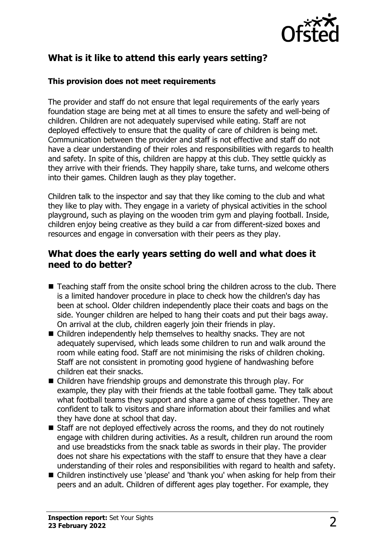

# **What is it like to attend this early years setting?**

#### **This provision does not meet requirements**

The provider and staff do not ensure that legal requirements of the early years foundation stage are being met at all times to ensure the safety and well-being of children. Children are not adequately supervised while eating. Staff are not deployed effectively to ensure that the quality of care of children is being met. Communication between the provider and staff is not effective and staff do not have a clear understanding of their roles and responsibilities with regards to health and safety. In spite of this, children are happy at this club. They settle quickly as they arrive with their friends. They happily share, take turns, and welcome others into their games. Children laugh as they play together.

Children talk to the inspector and say that they like coming to the club and what they like to play with. They engage in a variety of physical activities in the school playground, such as playing on the wooden trim gym and playing football. Inside, children enjoy being creative as they build a car from different-sized boxes and resources and engage in conversation with their peers as they play.

### **What does the early years setting do well and what does it need to do better?**

- $\blacksquare$  Teaching staff from the onsite school bring the children across to the club. There is a limited handover procedure in place to check how the children's day has been at school. Older children independently place their coats and bags on the side. Younger children are helped to hang their coats and put their bags away. On arrival at the club, children eagerly join their friends in play.
- $\blacksquare$  Children independently help themselves to healthy snacks. They are not adequately supervised, which leads some children to run and walk around the room while eating food. Staff are not minimising the risks of children choking. Staff are not consistent in promoting good hygiene of handwashing before children eat their snacks.
- Children have friendship groups and demonstrate this through play. For example, they play with their friends at the table football game. They talk about what football teams they support and share a game of chess together. They are confident to talk to visitors and share information about their families and what they have done at school that day.
- $\blacksquare$  Staff are not deployed effectively across the rooms, and they do not routinely engage with children during activities. As a result, children run around the room and use breadsticks from the snack table as swords in their play. The provider does not share his expectations with the staff to ensure that they have a clear understanding of their roles and responsibilities with regard to health and safety.
- Children instinctively use 'please' and 'thank you' when asking for help from their peers and an adult. Children of different ages play together. For example, they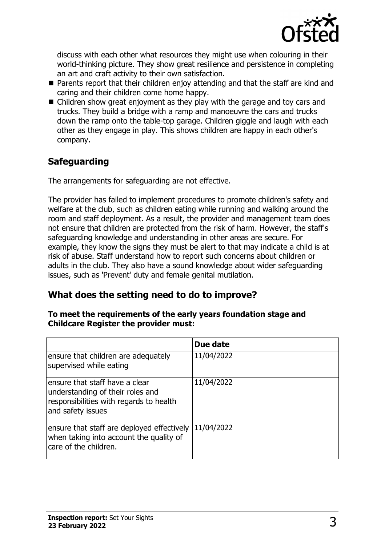

discuss with each other what resources they might use when colouring in their world-thinking picture. They show great resilience and persistence in completing an art and craft activity to their own satisfaction.

- $\blacksquare$  Parents report that their children enjoy attending and that the staff are kind and caring and their children come home happy.
- $\blacksquare$  Children show great enjoyment as they play with the garage and toy cars and trucks. They build a bridge with a ramp and manoeuvre the cars and trucks down the ramp onto the table-top garage. Children giggle and laugh with each other as they engage in play. This shows children are happy in each other's company.

# **Safeguarding**

The arrangements for safeguarding are not effective.

The provider has failed to implement procedures to promote children's safety and welfare at the club, such as children eating while running and walking around the room and staff deployment. As a result, the provider and management team does not ensure that children are protected from the risk of harm. However, the staff's safeguarding knowledge and understanding in other areas are secure. For example, they know the signs they must be alert to that may indicate a child is at risk of abuse. Staff understand how to report such concerns about children or adults in the club. They also have a sound knowledge about wider safeguarding issues, such as 'Prevent' duty and female genital mutilation.

## **What does the setting need to do to improve?**

#### **To meet the requirements of the early years foundation stage and Childcare Register the provider must:**

|                                                                                                                                    | Due date   |
|------------------------------------------------------------------------------------------------------------------------------------|------------|
| ensure that children are adequately<br>supervised while eating                                                                     | 11/04/2022 |
| ensure that staff have a clear<br>understanding of their roles and<br>responsibilities with regards to health<br>and safety issues | 11/04/2022 |
| ensure that staff are deployed effectively<br>when taking into account the quality of<br>care of the children.                     | 11/04/2022 |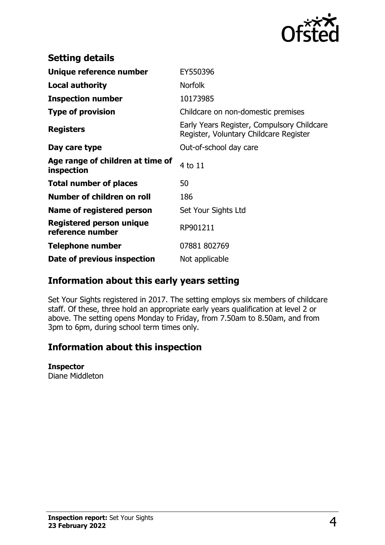

| <b>Setting details</b>                         |                                                                                      |
|------------------------------------------------|--------------------------------------------------------------------------------------|
| Unique reference number                        | EY550396                                                                             |
| <b>Local authority</b>                         | <b>Norfolk</b>                                                                       |
| <b>Inspection number</b>                       | 10173985                                                                             |
| <b>Type of provision</b>                       | Childcare on non-domestic premises                                                   |
| <b>Registers</b>                               | Early Years Register, Compulsory Childcare<br>Register, Voluntary Childcare Register |
| Day care type                                  | Out-of-school day care                                                               |
| Age range of children at time of<br>inspection | 4 to 11                                                                              |
| <b>Total number of places</b>                  | 50                                                                                   |
| Number of children on roll                     | 186                                                                                  |
| Name of registered person                      | Set Your Sights Ltd                                                                  |
| Registered person unique<br>reference number   | RP901211                                                                             |
| Telephone number                               | 07881 802769                                                                         |
| Date of previous inspection                    | Not applicable                                                                       |

## **Information about this early years setting**

Set Your Sights registered in 2017. The setting employs six members of childcare staff. Of these, three hold an appropriate early years qualification at level 2 or above. The setting opens Monday to Friday, from 7.50am to 8.50am, and from 3pm to 6pm, during school term times only.

## **Information about this inspection**

#### **Inspector**

Diane Middleton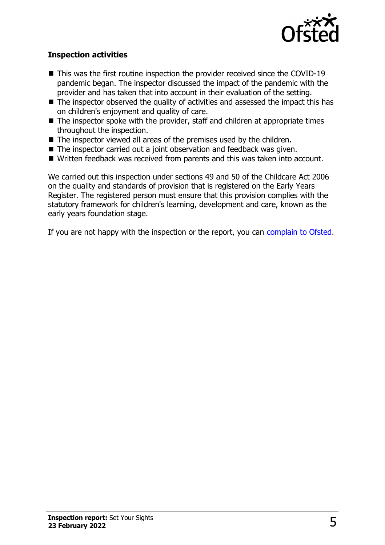

#### **Inspection activities**

- $\blacksquare$  This was the first routine inspection the provider received since the COVID-19 pandemic began. The inspector discussed the impact of the pandemic with the provider and has taken that into account in their evaluation of the setting.
- $\blacksquare$  The inspector observed the quality of activities and assessed the impact this has on children's enjoyment and quality of care.
- $\blacksquare$  The inspector spoke with the provider, staff and children at appropriate times throughout the inspection.
- $\blacksquare$  The inspector viewed all areas of the premises used by the children.
- $\blacksquare$  The inspector carried out a joint observation and feedback was given.
- Written feedback was received from parents and this was taken into account.

We carried out this inspection under sections 49 and 50 of the Childcare Act 2006 on the quality and standards of provision that is registered on the Early Years Register. The registered person must ensure that this provision complies with the statutory framework for children's learning, development and care, known as the early years foundation stage.

If you are not happy with the inspection or the report, you can [complain to Ofsted](http://www.gov.uk/complain-ofsted-report).